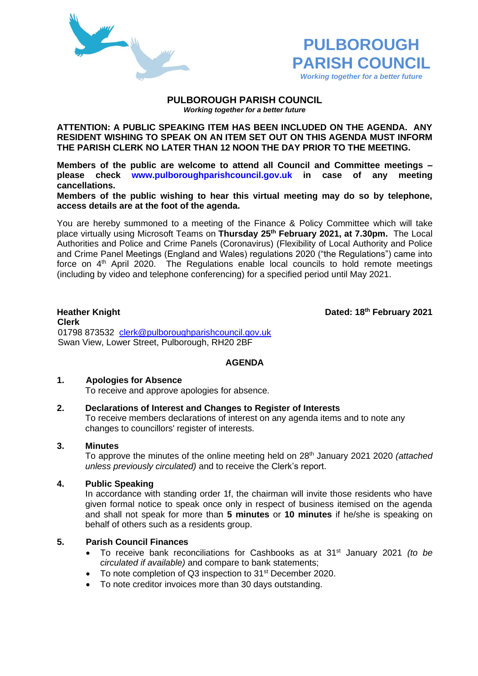



#### **PULBOROUGH PARISH COUNCIL** *Working together for a better future*

**ATTENTION: A PUBLIC SPEAKING ITEM HAS BEEN INCLUDED ON THE AGENDA. ANY RESIDENT WISHING TO SPEAK ON AN ITEM SET OUT ON THIS AGENDA MUST INFORM THE PARISH CLERK NO LATER THAN 12 NOON THE DAY PRIOR TO THE MEETING.**

**Members of the public are welcome to attend all Council and Committee meetings – please check [www.pulboroughparishcouncil.gov.uk](http://www.pulboroughparishcouncil.gov.uk/) in case of any meeting cancellations.** 

**Members of the public wishing to hear this virtual meeting may do so by telephone, access details are at the foot of the agenda.**

You are hereby summoned to a meeting of the Finance & Policy Committee which will take place virtually using Microsoft Teams on **Thursday 25th February 2021, at 7.30pm.** The Local Authorities and Police and Crime Panels (Coronavirus) (Flexibility of Local Authority and Police and Crime Panel Meetings (England and Wales) regulations 2020 ("the Regulations") came into force on  $4<sup>th</sup>$  April 2020. The Regulations enable local councils to hold remote meetings (including by video and telephone conferencing) for a specified period until May 2021.

**Heather Knight Dated: 18<sup>th</sup> February** 2021

**Clerk** 01798 873532 [clerk@pulboroughparishcouncil.gov.uk](mailto:clerk@pulboroughparishcouncil.gov.uk) Swan View, Lower Street, Pulborough, RH20 2BF

# **AGENDA**

# **1. Apologies for Absence**

To receive and approve apologies for absence.

# **2. Declarations of Interest and Changes to Register of Interests**

To receive members declarations of interest on any agenda items and to note any changes to councillors' register of interests.

# **3. Minutes**

To approve the minutes of the online meeting held on 28th January 2021 2020 *(attached unless previously circulated)* and to receive the Clerk's report.

# **4. Public Speaking**

In accordance with standing order 1f, the chairman will invite those residents who have given formal notice to speak once only in respect of business itemised on the agenda and shall not speak for more than **5 minutes** or **10 minutes** if he/she is speaking on behalf of others such as a residents group.

# **5. Parish Council Finances**

- To receive bank reconciliations for Cashbooks as at 31<sup>st</sup> January 2021 *(to be circulated if available)* and compare to bank statements;
- To note completion of Q3 inspection to 31<sup>st</sup> December 2020.
- To note creditor invoices more than 30 days outstanding.